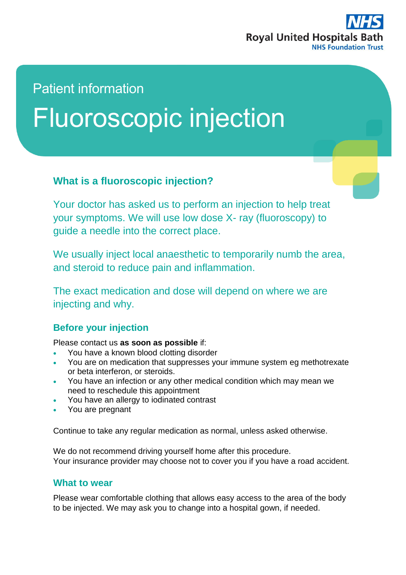

## Patient information

# Fluoroscopic injection

#### **What is a fluoroscopic injection?**

Your doctor has asked us to perform an injection to help treat your symptoms. We will use low dose X- ray (fluoroscopy) to guide a needle into the correct place.

We usually inject local anaesthetic to temporarily numb the area, and steroid to reduce pain and inflammation.

The exact medication and dose will depend on where we are injecting and why.

#### **Before your injection**

Please contact us **as soon as possible** if:

- You have a known blood clotting disorder
- You are on medication that suppresses your immune system eg methotrexate or beta interferon, or steroids.
- You have an infection or any other medical condition which may mean we need to reschedule this appointment
- You have an allergy to iodinated contrast
- You are pregnant

Continue to take any regular medication as normal, unless asked otherwise.

We do not recommend driving yourself home after this procedure. Your insurance provider may choose not to cover you if you have a road accident.

#### **What to wear**

Please wear comfortable clothing that allows easy access to the area of the body to be injected. We may ask you to change into a hospital gown, if needed.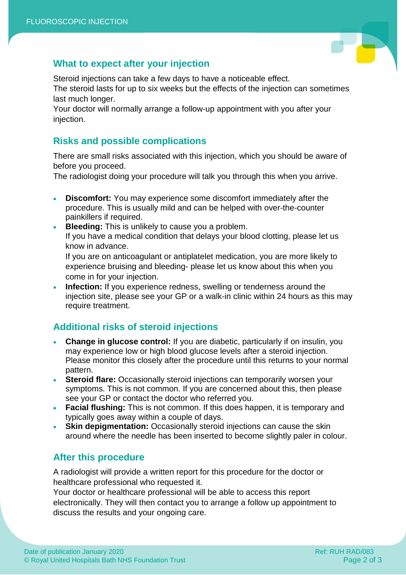

#### **What to expect after your injection**

Steroid injections can take a few days to have a noticeable effect.

The steroid lasts for up to six weeks but the effects of the injection can sometimes last much longer.

Your doctor will normally arrange a follow-up appointment with you after your injection.

#### **Risks and possible complications**

There are small risks associated with this injection, which you should be aware of before you proceed.

The radiologist doing your procedure will talk you through this when you arrive.

- **Discomfort:** You may experience some discomfort immediately after the procedure. This is usually mild and can be helped with over-the-counter painkillers if required.
- **Bleeding:** This is unlikely to cause you a problem. If you have a medical condition that delays your blood clotting, please let us know in advance.

If you are on anticoagulant or antiplatelet medication, you are more likely to experience bruising and bleeding- please let us know about this when you come in for your injection.

 **Infection:** If you experience redness, swelling or tenderness around the injection site, please see your GP or a walk-in clinic within 24 hours as this may require treatment.

### **Additional risks of steroid injections**

- **Change in glucose control:** If you are diabetic, particularly if on insulin, you may experience low or high blood glucose levels after a steroid injection. Please monitor this closely after the procedure until this returns to your normal pattern.
- **Steroid flare:** Occasionally steroid injections can temporarily worsen your symptoms. This is not common. If you are concerned about this, then please see your GP or contact the doctor who referred you.
- **Facial flushing:** This is not common. If this does happen, it is temporary and typically goes away within a couple of days.
- **Skin depigmentation:** Occasionally steroid injections can cause the skin around where the needle has been inserted to become slightly paler in colour.

#### **After this procedure**

A radiologist will provide a written report for this procedure for the doctor or healthcare professional who requested it.

Your doctor or healthcare professional will be able to access this report electronically. They will then contact you to arrange a follow up appointment to discuss the results and your ongoing care.